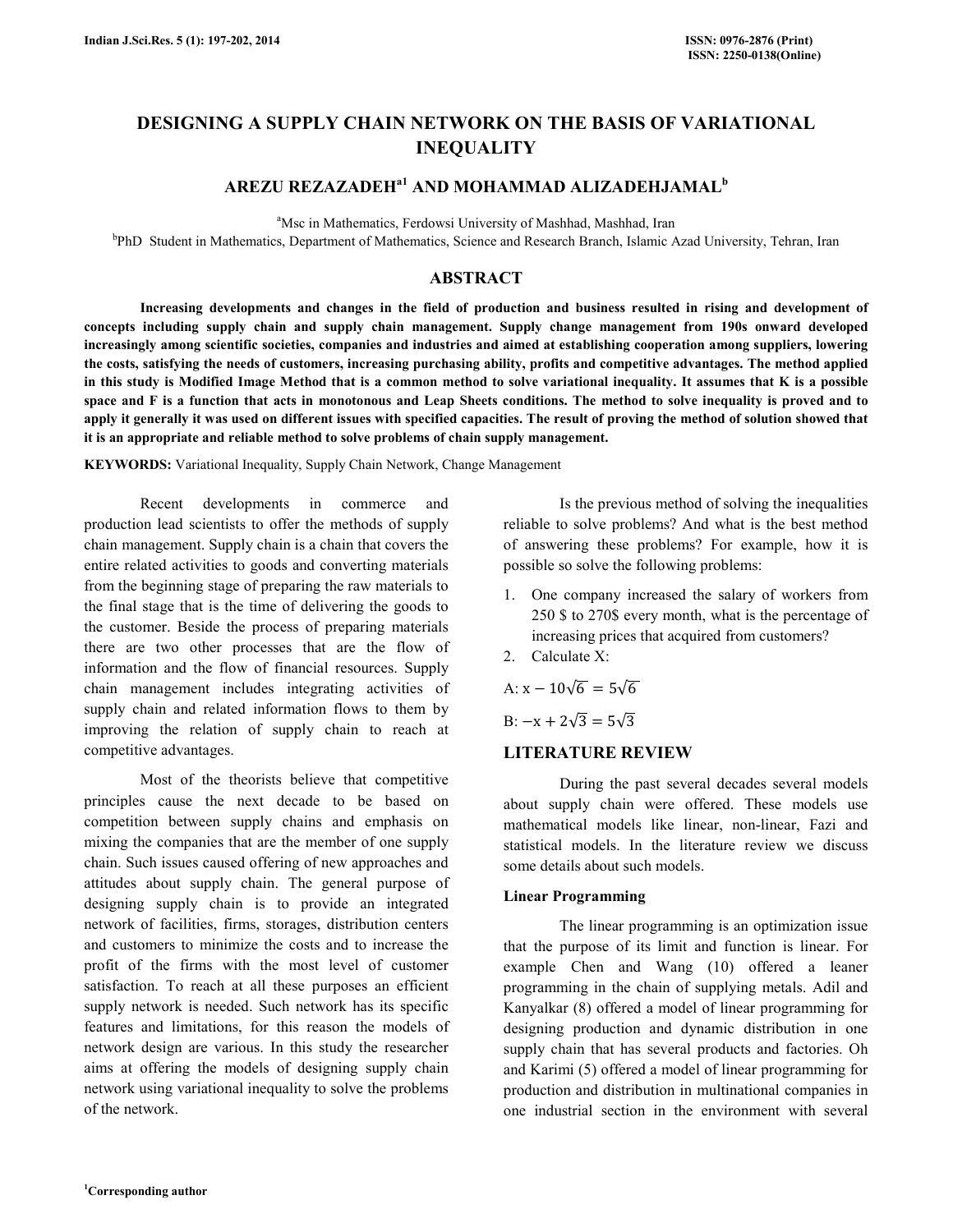# DESIGNING A SUPPLY CHAIN NETWORK ON THE BASIS OF VARIATIONAL **INEQUALITY**

# AREZU REZAZADEH $^{a1}$  and mohammad alizadehjamal $^{b}$

<sup>a</sup>Msc in Mathematics, Ferdowsi University of Mashhad, Mashhad, Iran

b PhD Student in Mathematics, Department of Mathematics, Science and Research Branch, Islamic Azad University, Tehran, Iran

# ABSTRACT

 Increasing developments and changes in the field of production and business resulted in rising and development of concepts including supply chain and supply chain management. Supply change management from 190s onward developed increasingly among scientific societies, companies and industries and aimed at establishing cooperation among suppliers, lowering the costs, satisfying the needs of customers, increasing purchasing ability, profits and competitive advantages. The method applied in this study is Modified Image Method that is a common method to solve variational inequality. It assumes that K is a possible space and F is a function that acts in monotonous and Leap Sheets conditions. The method to solve inequality is proved and to apply it generally it was used on different issues with specified capacities. The result of proving the method of solution showed that it is an appropriate and reliable method to solve problems of chain supply management.

KEYWORDS: Variational Inequality, Supply Chain Network, Change Management

 Recent developments in commerce and production lead scientists to offer the methods of supply chain management. Supply chain is a chain that covers the entire related activities to goods and converting materials from the beginning stage of preparing the raw materials to the final stage that is the time of delivering the goods to the customer. Beside the process of preparing materials there are two other processes that are the flow of information and the flow of financial resources. Supply chain management includes integrating activities of supply chain and related information flows to them by improving the relation of supply chain to reach at competitive advantages.

 Most of the theorists believe that competitive principles cause the next decade to be based on competition between supply chains and emphasis on mixing the companies that are the member of one supply chain. Such issues caused offering of new approaches and attitudes about supply chain. The general purpose of designing supply chain is to provide an integrated network of facilities, firms, storages, distribution centers and customers to minimize the costs and to increase the profit of the firms with the most level of customer satisfaction. To reach at all these purposes an efficient supply network is needed. Such network has its specific features and limitations, for this reason the models of network design are various. In this study the researcher aims at offering the models of designing supply chain network using variational inequality to solve the problems of the network.

 Is the previous method of solving the inequalities reliable to solve problems? And what is the best method of answering these problems? For example, how it is possible so solve the following problems:

- 1. One company increased the salary of workers from 250 \$ to 270\$ every month, what is the percentage of increasing prices that acquired from customers?
- 2. Calculate X:

A: 
$$
x - 10\sqrt{6} = 5\sqrt{6}
$$

B:  $-x + 2\sqrt{3} = 5\sqrt{3}$ 

### LITERATURE REVIEW

 During the past several decades several models about supply chain were offered. These models use mathematical models like linear, non-linear, Fazi and statistical models. In the literature review we discuss some details about such models.

### Linear Programming

 The linear programming is an optimization issue that the purpose of its limit and function is linear. For example Chen and Wang (10) offered a leaner programming in the chain of supplying metals. Adil and Kanyalkar (8) offered a model of linear programming for designing production and dynamic distribution in one supply chain that has several products and factories. Oh and Karimi (5) offered a model of linear programming for production and distribution in multinational companies in one industrial section in the environment with several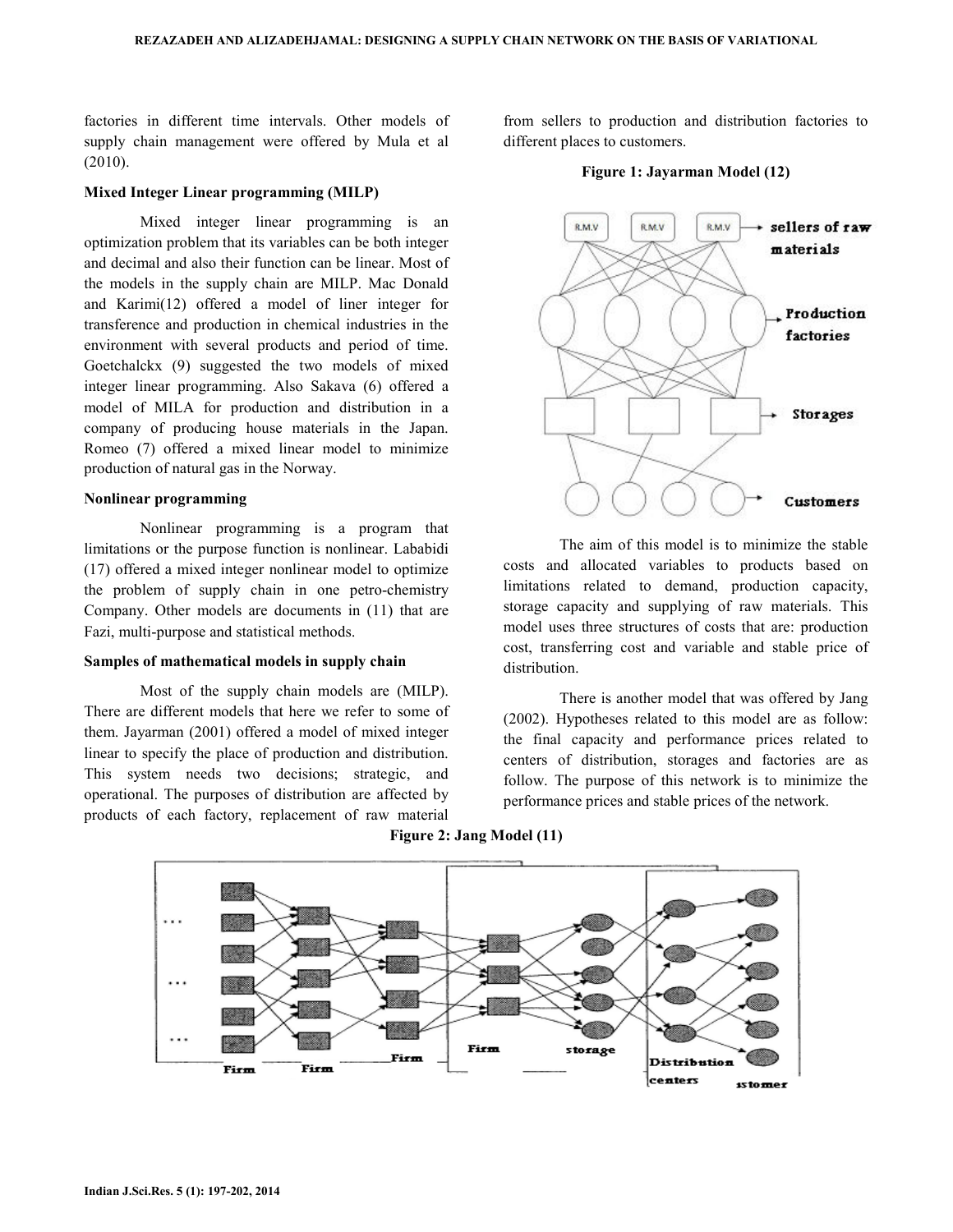factories in different time intervals. Other models of supply chain management were offered by Mula et al (2010).

#### Mixed Integer Linear programming (MILP)

 Mixed integer linear programming is an optimization problem that its variables can be both integer and decimal and also their function can be linear. Most of the models in the supply chain are MILP. Mac Donald and Karimi(12) offered a model of liner integer for transference and production in chemical industries in the environment with several products and period of time. Goetchalckx (9) suggested the two models of mixed integer linear programming. Also Sakava (6) offered a model of MILA for production and distribution in a company of producing house materials in the Japan. Romeo (7) offered a mixed linear model to minimize production of natural gas in the Norway.

#### Nonlinear programming

 Nonlinear programming is a program that limitations or the purpose function is nonlinear. Lababidi (17) offered a mixed integer nonlinear model to optimize the problem of supply chain in one petro-chemistry Company. Other models are documents in (11) that are Fazi, multi-purpose and statistical methods.

#### Samples of mathematical models in supply chain

 Most of the supply chain models are (MILP). There are different models that here we refer to some of them. Jayarman (2001) offered a model of mixed integer linear to specify the place of production and distribution. This system needs two decisions; strategic, and operational. The purposes of distribution are affected by products of each factory, replacement of raw material

from sellers to production and distribution factories to different places to customers.

#### Figure 1: Jayarman Model (12)



 The aim of this model is to minimize the stable costs and allocated variables to products based on limitations related to demand, production capacity, storage capacity and supplying of raw materials. This model uses three structures of costs that are: production cost, transferring cost and variable and stable price of distribution.

 There is another model that was offered by Jang (2002). Hypotheses related to this model are as follow: the final capacity and performance prices related to centers of distribution, storages and factories are as follow. The purpose of this network is to minimize the performance prices and stable prices of the network.



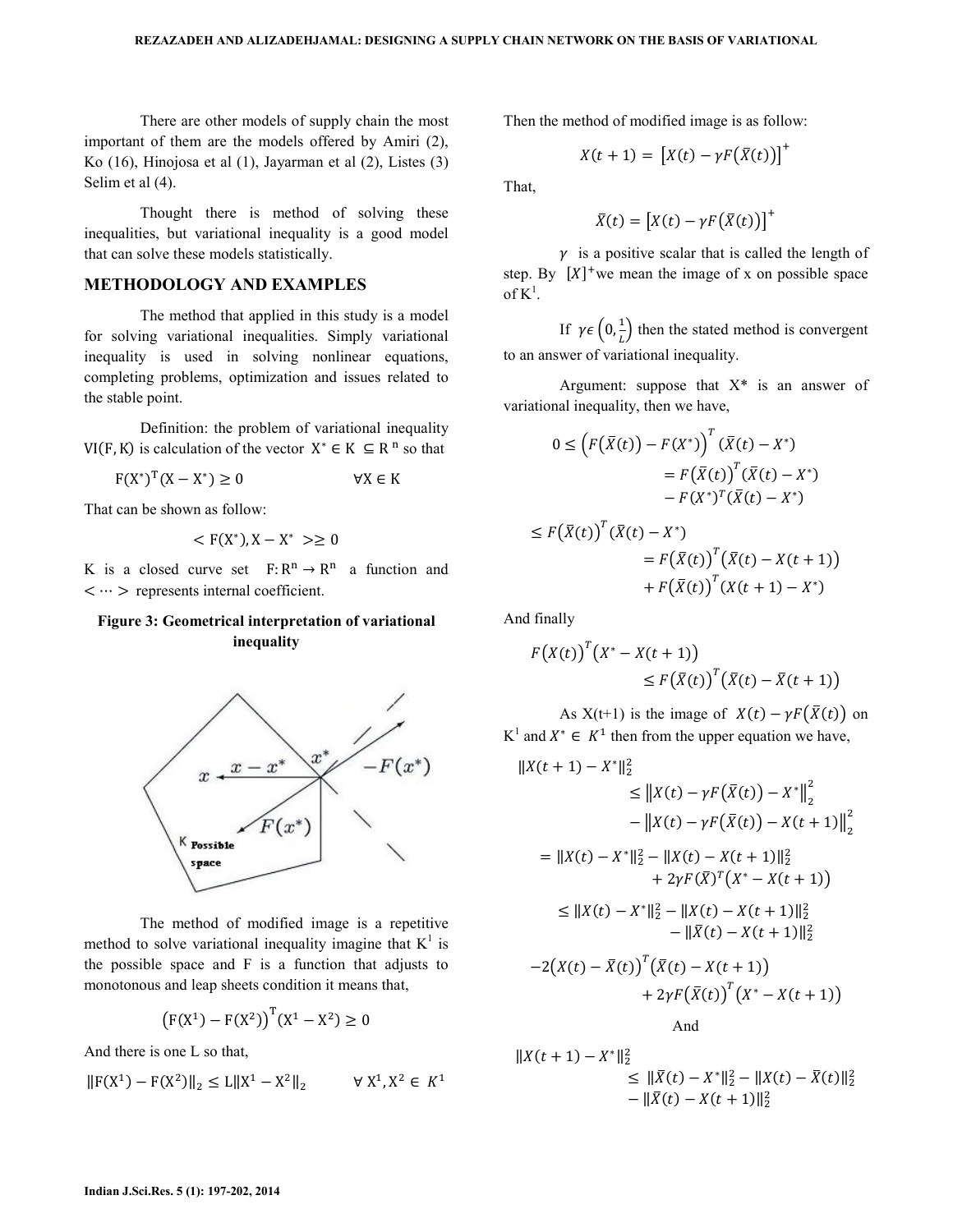There are other models of supply chain the most important of them are the models offered by Amiri (2), Ko (16), Hinojosa et al (1), Jayarman et al (2), Listes (3) Selim et al (4).

 Thought there is method of solving these inequalities, but variational inequality is a good model that can solve these models statistically.

# METHODOLOGY AND EXAMPLES

 The method that applied in this study is a model for solving variational inequalities. Simply variational inequality is used in solving nonlinear equations, completing problems, optimization and issues related to the stable point.

 Definition: the problem of variational inequality  $VI(F, K)$  is calculation of the vector  $X^* \in K \subseteq R^n$  so that

 $F(X^*)^T(X-X^*)$  $\forall X \in K$ 

That can be shown as follow:

$$
<\mathrm{F}(\mathrm{X}^*), \mathrm{X}-\mathrm{X}^* >\geq 0
$$

K is a closed curve set  $F: R^n \to R^n$  a function and  $\langle \cdots \rangle$  represents internal coefficient.

# Figure 3: Geometrical interpretation of variational inequality



 The method of modified image is a repetitive method to solve variational inequality imagine that  $K^1$  is the possible space and F is a function that adjusts to monotonous and leap sheets condition it means that,

$$
(F(X^1) - F(X^2))^{T}(X^1 - X^2) \ge 0
$$

And there is one L so that,

$$
\|F(X^1) - F(X^2)\|_2 \le L\|X^1 - X^2\|_2 \qquad \forall X^1, X^2 \in K^1
$$

Then the method of modified image is as follow:

$$
X(t+1) = [X(t) - \gamma F(\bar{X}(t))]^{+}
$$

That,

$$
\bar{X}(t) = [X(t) - \gamma F(\bar{X}(t))]^{+}
$$

 $\gamma$  is a positive scalar that is called the length of step. By  $[X]^+$  we mean the image of x on possible space of  $K^1$ .

If  $\gamma \in (0, \frac{1}{L})$  then the stated method is convergent to an answer of variational inequality.

Argument: suppose that  $X^*$  is an answer of variational inequality, then we have,

$$
0 \leq \left( F(\bar{X}(t)) - F(X^*) \right)^T (\bar{X}(t) - X^*)
$$
  
\n
$$
= F(\bar{X}(t))^{T} (\bar{X}(t) - X^*)
$$
  
\n
$$
- F(X^*)^{T} (\bar{X}(t) - X^*)
$$
  
\n
$$
\leq F(\bar{X}(t))^{T} (\bar{X}(t) - X^*)
$$
  
\n
$$
= F(\bar{X}(t))^{T} (\bar{X}(t) - X(t + 1))
$$
  
\n
$$
+ F(\bar{X}(t))^{T} (X(t + 1) - X^*)
$$

And finally

$$
F(X(t))^{T}(X^{*}-X(t+1))
$$
  
\n
$$
\leq F(\bar{X}(t))^{T}(\bar{X}(t)-\bar{X}(t+1))
$$

As  $X(t+1)$  is the image of  $X(t) - \gamma F(\bar{X}(t))$  on  $K^1$  and  $X^* \in K^1$  then from the upper equation we have,

$$
||X(t + 1) - X^*||_2^2
$$
  
\n
$$
\leq ||X(t) - \gamma F(\bar{X}(t)) - X^*||_2^2
$$
  
\n
$$
- ||X(t) - \gamma F(\bar{X}(t)) - X(t + 1)||_2^2
$$
  
\n
$$
= ||X(t) - X^*||_2^2 - ||X(t) - X(t + 1)||_2^2
$$
  
\n
$$
+ 2\gamma F(\bar{X})^T(X^* - X(t + 1))
$$
  
\n
$$
\leq ||X(t) - X^*||_2^2 - ||X(t) - X(t + 1)||_2^2
$$
  
\n
$$
- ||\bar{X}(t) - X(t + 1)||_2^2
$$
  
\n
$$
- 2(X(t) - \bar{X}(t))^T (\bar{X}(t) - X(t + 1))
$$
  
\n
$$
+ 2\gamma F(\bar{X}(t))^T (X^* - X(t + 1))
$$
  
\nAnd

$$
||X(t + 1) - X^*||_2^2
$$
  
\n
$$
\leq ||\bar{X}(t) - X^*||_2^2 - ||X(t) - \bar{X}(t)||_2^2
$$
  
\n
$$
- ||\bar{X}(t) - X(t + 1)||_2^2
$$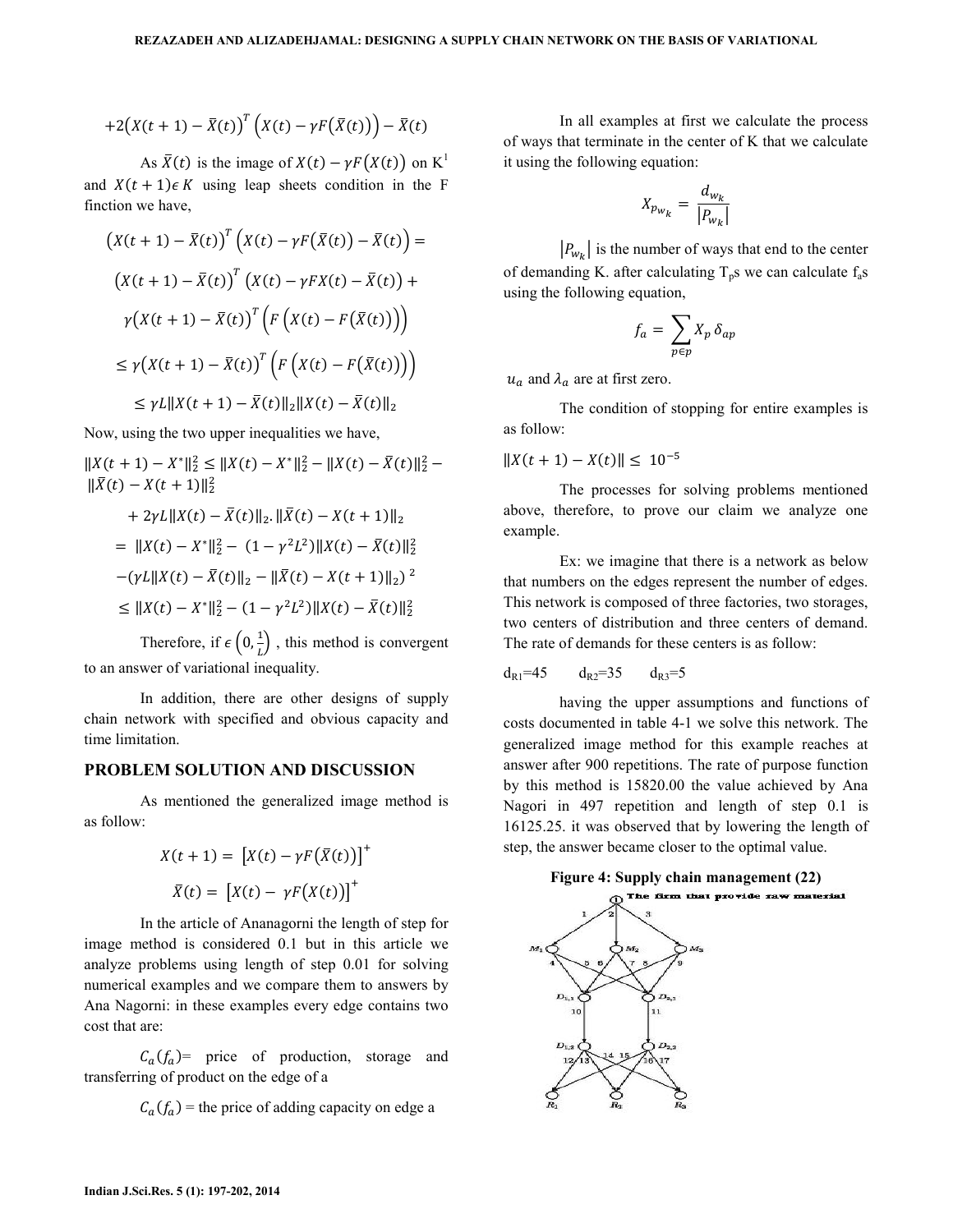$$
+2\big(X(t+1)-\bar{X}(t)\big)^T\big(X(t)-\gamma F\big(\bar{X}(t)\big)\big)-\bar{X}(t)
$$

As  $\bar{X}(t)$  is the image of  $X(t) - \gamma F(X(t))$  on K<sup>1</sup> and  $X(t + 1)\epsilon K$  using leap sheets condition in the F finction we have.

$$
\begin{aligned} \left(X(t+1) - \bar{X}(t)\right)^T \left(X(t) - \gamma F(\bar{X}(t)) - \bar{X}(t)\right) &= \\ \left(X(t+1) - \bar{X}(t)\right)^T \left(X(t) - \gamma F X(t) - \bar{X}(t)\right) + \\ \gamma \left(X(t+1) - \bar{X}(t)\right)^T \left(F\left(X(t) - F(\bar{X}(t))\right)\right) \\ &\le \gamma \left(X(t+1) - \bar{X}(t)\right)^T \left(F\left(X(t) - F(\bar{X}(t))\right)\right) \\ &\le \gamma L \|X(t+1) - \bar{X}(t)\|_2 \|X(t) - \bar{X}(t)\|_2 \end{aligned}
$$

Now, using the two upper inequalities we have,

 $||X(t + 1) - X^*||_2^2 \le ||X(t) - X^*||_2^2 - ||X(t) - \overline{X}(t)||_2^2$  $\|\bar{X}(t) - X(t+1)\|_{2}^{2}$ 

+ 
$$
2\gamma L ||X(t) - \bar{X}(t)||_2
$$
.  $||\bar{X}(t) - X(t + 1)||_2$   
\n=  $||X(t) - X^*||_2^2 - (1 - \gamma^2 L^2) ||X(t) - \bar{X}(t)||_2^2$   
\n $-(\gamma L ||X(t) - \bar{X}(t)||_2 - ||\bar{X}(t) - X(t + 1)||_2)^2$   
\n $\leq ||X(t) - X^*||_2^2 - (1 - \gamma^2 L^2) ||X(t) - \bar{X}(t)||_2^2$ 

Therefore, if  $\epsilon\left(0, \frac{1}{t}\right)$ , this method is convergent to an answer of variational inequality.

In addition, there are other designs of supply chain network with specified and obvious capacity and time limitation

## PROBLEM SOLUTION AND DISCUSSION

As mentioned the generalized image method is as follow:

$$
X(t + 1) = [X(t) - \gamma F(\bar{X}(t))]^{+}
$$

$$
\bar{X}(t) = [X(t) - \gamma F(X(t))]^{+}
$$

In the article of Ananagorni the length of step for image method is considered 0.1 but in this article we analyze problems using length of step 0.01 for solving numerical examples and we compare them to answers by Ana Nagorni: in these examples every edge contains two cost that are:

 $C_a(f_a)$  price of production, storage and transferring of product on the edge of a

 $C_a(f_a)$  = the price of adding capacity on edge a

In all examples at first we calculate the process of ways that terminate in the center of K that we calculate it using the following equation:

$$
X_{p_{W_k}} = \frac{d_{w_k}}{|P_{w_k}|}
$$

 $|P_{W_k}|$  is the number of ways that end to the center of demanding K. after calculating  $T_p$ s we can calculate  $f_a$ s using the following equation.

$$
f_a = \sum_{p \in p} X_p \, \delta_{ap}
$$

 $u_a$  and  $\lambda_a$  are at first zero.

The condition of stopping for entire examples is as follow:

$$
||X(t+1) - X(t)|| \leq 10^{-5}
$$

The processes for solving problems mentioned above, therefore, to prove our claim we analyze one example.

Ex: we imagine that there is a network as below that numbers on the edges represent the number of edges. This network is composed of three factories, two storages, two centers of distribution and three centers of demand. The rate of demands for these centers is as follow:

$$
d_{R1}=45
$$
  $d_{R2}=35$   $d_{R3}=5$ 

having the upper assumptions and functions of costs documented in table 4-1 we solve this network. The generalized image method for this example reaches at answer after 900 repetitions. The rate of purpose function by this method is 15820.00 the value achieved by Ana Nagori in 497 repetition and length of step 0.1 is 16125.25. it was observed that by lowering the length of step, the answer became closer to the optimal value.

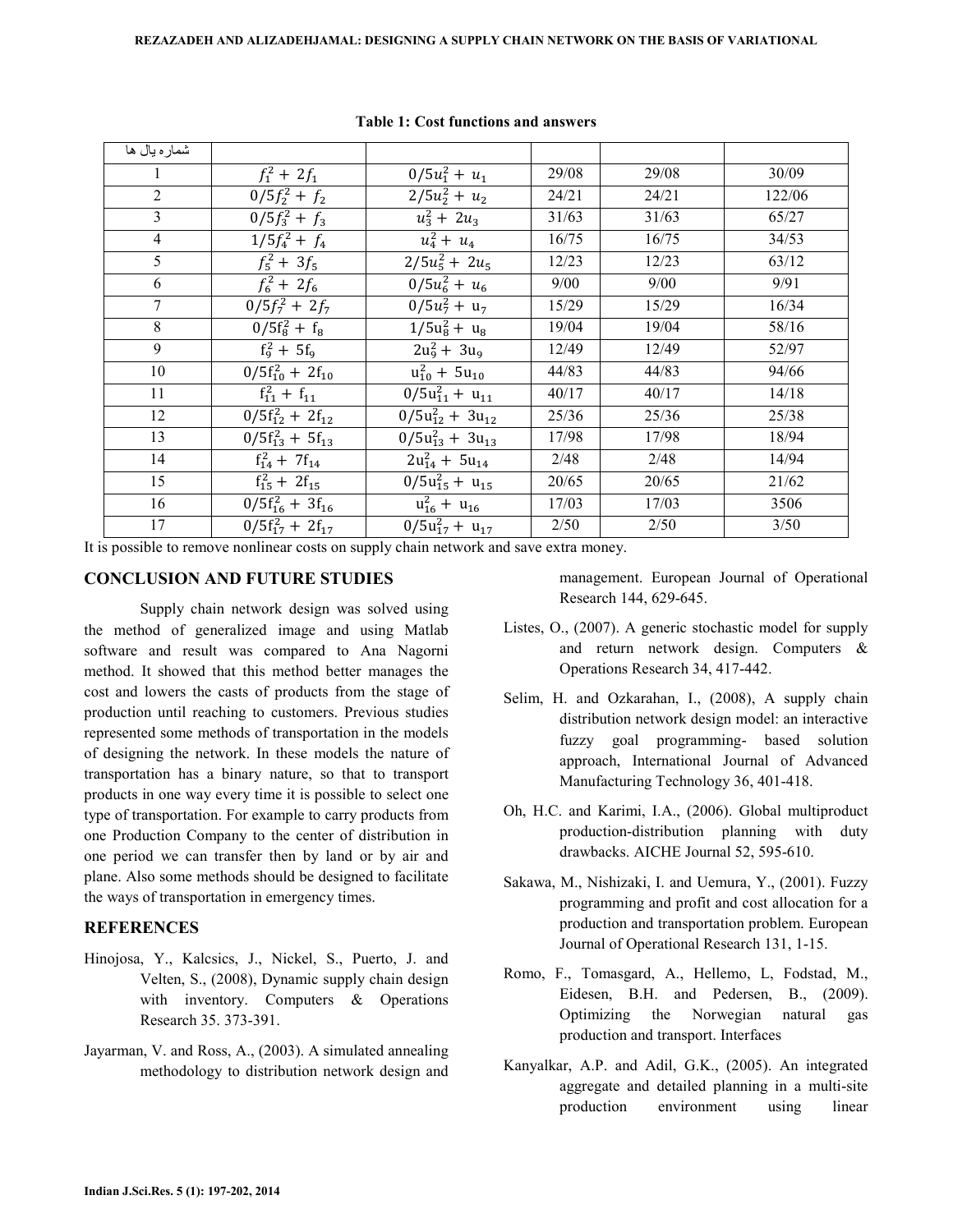| شماره يال ها   |                                                    |                          |       |       |        |
|----------------|----------------------------------------------------|--------------------------|-------|-------|--------|
|                | $f_1^2 + 2f_1$                                     | $0/5u_1^2 + u_1$         | 29/08 | 29/08 | 30/09  |
| $\overline{2}$ | $0/5f_2^2 + f_2$                                   | $2/5u_2^2 + u_2$         | 24/21 | 24/21 | 122/06 |
| 3              | $0/5f_3^2 + f_3$                                   | $u_3^2 + 2u_3$           | 31/63 | 31/63 | 65/27  |
| $\overline{4}$ | $1/5f_4^2 + f_4$                                   | $u_4^2 + u_4$            | 16/75 | 16/75 | 34/53  |
| 5              | $f_5^2 + 3f_5$                                     | $\sqrt{2}/5u_5^2 + 2u_5$ | 12/23 | 12/23 | 63/12  |
| 6              | $f_6^2 + 2f_6$                                     | $0/5u_6^2 + u_6$         | 9/00  | 9/00  | 9/91   |
| 7              | $0/5f_7^2 + 2f_7$                                  | $0/5u_7^2 + u_7$         | 15/29 | 15/29 | 16/34  |
| 8              | $\frac{1}{0}/5f_{8}^{2} + f_{8}$                   | $1/5u_8^2 + u_8$         | 19/04 | 19/04 | 58/16  |
| 9              | $f_{9}^{2} + 5f_{9}$                               | $2u_9^2 + 3u_9$          | 12/49 | 12/49 | 52/97  |
| 10             | $\frac{1}{0}/5f_{10}^2 + 2f_{10}$                  | $u_{10}^2 + 5u_{10}$     | 44/83 | 44/83 | 94/66  |
| 11             | $f_{11}^2 + f_{11}$                                | $0/5u_{11}^2 + u_{11}$   | 40/17 | 40/17 | 14/18  |
| 12             | $\frac{1}{0}$ /5f <sub>12</sub> + 2f <sub>12</sub> | $0/5u_{12}^2 + 3u_{12}$  | 25/36 | 25/36 | 25/38  |
| 13             | $0/5f_{13}^2 + 5f_{13}$                            | $0/5u_{13}^2 + 3u_{13}$  | 17/98 | 17/98 | 18/94  |
| 14             | $f_{14}^2 + 7f_{14}$                               | $2u_{14}^2 + 5u_{14}$    | 2/48  | 2/48  | 14/94  |
| 15             | $f_{15}^2 + 2f_{15}$                               | $0/5u_{15}^2 + u_{15}$   | 20/65 | 20/65 | 21/62  |
| 16             | $0/5f_{16}^2 + 3f_{16}$                            | $u_{16}^2 + u_{16}$      | 17/03 | 17/03 | 3506   |
| 17             | $0/5f_{17}^2 + 2f_{17}$                            | $0/5u_{17}^2 + u_{17}$   | 2/50  | 2/50  | 3/50   |

Table 1: Cost functions and answers

It is possible to remove nonlinear costs on supply chain network and save extra money.

### CONCLUSION AND FUTURE STUDIES

 Supply chain network design was solved using the method of generalized image and using Matlab software and result was compared to Ana Nagorni method. It showed that this method better manages the cost and lowers the casts of products from the stage of production until reaching to customers. Previous studies represented some methods of transportation in the models of designing the network. In these models the nature of transportation has a binary nature, so that to transport products in one way every time it is possible to select one type of transportation. For example to carry products from one Production Company to the center of distribution in one period we can transfer then by land or by air and plane. Also some methods should be designed to facilitate the ways of transportation in emergency times.

### **REFERENCES**

- Hinojosa, Y., Kalcsics, J., Nickel, S., Puerto, J. and Velten, S., (2008), Dynamic supply chain design with inventory. Computers & Operations Research 35. 373-391.
- Jayarman, V. and Ross, A., (2003). A simulated annealing methodology to distribution network design and

management. European Journal of Operational Research 144, 629-645.

- Listes, O., (2007). A generic stochastic model for supply and return network design. Computers & Operations Research 34, 417-442.
- Selim, H. and Ozkarahan, I., (2008), A supply chain distribution network design model: an interactive fuzzy goal programming- based solution approach, International Journal of Advanced Manufacturing Technology 36, 401-418.
- Oh, H.C. and Karimi, I.A., (2006). Global multiproduct production-distribution planning with duty drawbacks. AICHE Journal 52, 595-610.
- Sakawa, M., Nishizaki, I. and Uemura, Y., (2001). Fuzzy programming and profit and cost allocation for a production and transportation problem. European Journal of Operational Research 131, 1-15.
- Romo, F., Tomasgard, A., Hellemo, L, Fodstad, M., Eidesen, B.H. and Pedersen, B., (2009). Optimizing the Norwegian natural gas production and transport. Interfaces
- Kanyalkar, A.P. and Adil, G.K., (2005). An integrated aggregate and detailed planning in a multi-site production environment using linear